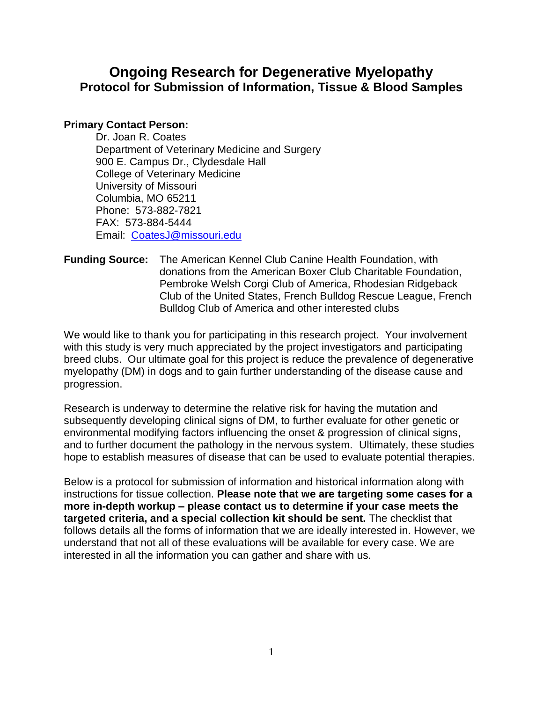### **Ongoing Research for Degenerative Myelopathy Protocol for Submission of Information, Tissue & Blood Samples**

#### **Primary Contact Person:**

Dr. Joan R. Coates Department of Veterinary Medicine and Surgery 900 E. Campus Dr., Clydesdale Hall College of Veterinary Medicine University of Missouri Columbia, MO 65211 Phone: 573-882-7821 FAX: 573-884-5444 Email: [CoatesJ@missouri.edu](mailto:CoatesJ@missouri.edu)

**Funding Source:** The American Kennel Club Canine Health Foundation, with donations from the American Boxer Club Charitable Foundation, Pembroke Welsh Corgi Club of America, Rhodesian Ridgeback Club of the United States, French Bulldog Rescue League, French Bulldog Club of America and other interested clubs

We would like to thank you for participating in this research project. Your involvement with this study is very much appreciated by the project investigators and participating breed clubs. Our ultimate goal for this project is reduce the prevalence of degenerative myelopathy (DM) in dogs and to gain further understanding of the disease cause and progression.

Research is underway to determine the relative risk for having the mutation and subsequently developing clinical signs of DM, to further evaluate for other genetic or environmental modifying factors influencing the onset & progression of clinical signs, and to further document the pathology in the nervous system. Ultimately, these studies hope to establish measures of disease that can be used to evaluate potential therapies.

Below is a protocol for submission of information and historical information along with instructions for tissue collection. **Please note that we are targeting some cases for a more in-depth workup – please contact us to determine if your case meets the targeted criteria, and a special collection kit should be sent.** The checklist that follows details all the forms of information that we are ideally interested in. However, we understand that not all of these evaluations will be available for every case. We are interested in all the information you can gather and share with us.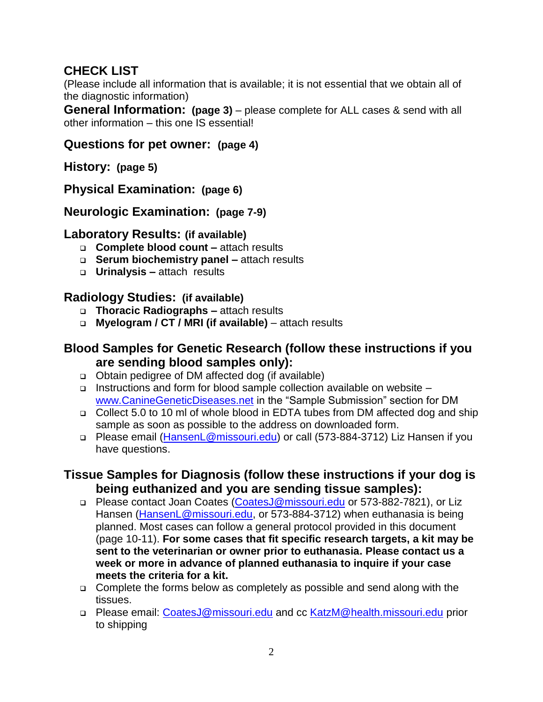## **CHECK LIST**

(Please include all information that is available; it is not essential that we obtain all of the diagnostic information)

**General Information: (page 3)** – please complete for ALL cases & send with all other information – this one IS essential!

### **Questions for pet owner: (page 4)**

**History: (page 5)**

**Physical Examination: (page 6)**

**Neurologic Examination: (page 7-9)**

#### **Laboratory Results: (if available)**

- **Complete blood count –** attach results
- **Serum biochemistry panel –** attach results
- **Urinalysis –** attach results

### **Radiology Studies: (if available)**

- **Thoracic Radiographs –** attach results
- **Myelogram / CT / MRI (if available)** attach results

### **Blood Samples for Genetic Research (follow these instructions if you are sending blood samples only):**

- □ Obtain pedigree of DM affected dog (if available)
- Instructions and form for blood sample collection available on website [www.CanineGeneticDiseases.net](http://www.caninegeneticdiseases.net/) in the "Sample Submission" section for DM
- □ Collect 5.0 to 10 ml of whole blood in EDTA tubes from DM affected dog and ship sample as soon as possible to the address on downloaded form.
- Please email [\(HansenL@missouri.edu\)](mailto:HansenL@missouri.edu) or call (573-884-3712) Liz Hansen if you have questions.

### **Tissue Samples for Diagnosis (follow these instructions if your dog is being euthanized and you are sending tissue samples):**

- □ Please contact Joan Coates [\(CoatesJ@missouri.edu](mailto:CoatesJ@missouri.edu) or 573-882-7821), or Liz Hansen [\(HansenL@missouri.edu,](mailto:HansenL@missouri.edu) or 573-884-3712) when euthanasia is being planned. Most cases can follow a general protocol provided in this document (page 10-11). **For some cases that fit specific research targets, a kit may be sent to the veterinarian or owner prior to euthanasia. Please contact us a week or more in advance of planned euthanasia to inquire if your case meets the criteria for a kit.**
- □ Complete the forms below as completely as possible and send along with the tissues.
- □ Please email: [CoatesJ@missouri.edu](mailto:CoatesJ@missouri.edu) and cc [KatzM@health.missouri.edu](mailto:KatzM@health.missouri.edu) prior to shipping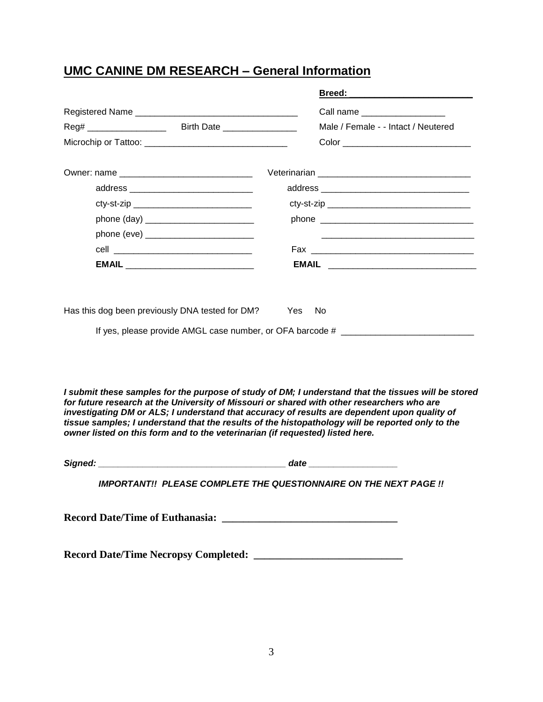# **UMC CANINE DM RESEARCH – General Information**

|                                                                                                                                                         |                                                                               | Breed: the contract of the contract of the contract of the contract of the contract of the contract of the contract of the contract of the contract of the contract of the contract of the contract of the contract of the con                                                                                                                                                                        |  |  |  |
|---------------------------------------------------------------------------------------------------------------------------------------------------------|-------------------------------------------------------------------------------|-------------------------------------------------------------------------------------------------------------------------------------------------------------------------------------------------------------------------------------------------------------------------------------------------------------------------------------------------------------------------------------------------------|--|--|--|
|                                                                                                                                                         |                                                                               | Call name __________________                                                                                                                                                                                                                                                                                                                                                                          |  |  |  |
|                                                                                                                                                         |                                                                               | Male / Female - - Intact / Neutered                                                                                                                                                                                                                                                                                                                                                                   |  |  |  |
|                                                                                                                                                         |                                                                               |                                                                                                                                                                                                                                                                                                                                                                                                       |  |  |  |
|                                                                                                                                                         |                                                                               |                                                                                                                                                                                                                                                                                                                                                                                                       |  |  |  |
|                                                                                                                                                         |                                                                               |                                                                                                                                                                                                                                                                                                                                                                                                       |  |  |  |
|                                                                                                                                                         |                                                                               |                                                                                                                                                                                                                                                                                                                                                                                                       |  |  |  |
|                                                                                                                                                         |                                                                               |                                                                                                                                                                                                                                                                                                                                                                                                       |  |  |  |
|                                                                                                                                                         |                                                                               |                                                                                                                                                                                                                                                                                                                                                                                                       |  |  |  |
|                                                                                                                                                         |                                                                               |                                                                                                                                                                                                                                                                                                                                                                                                       |  |  |  |
| EMAIL ___________________________________                                                                                                               |                                                                               |                                                                                                                                                                                                                                                                                                                                                                                                       |  |  |  |
| Has this dog been previously DNA tested for DM?<br><b>No</b><br>Yes<br>If yes, please provide AMGL case number, or OFA barcode # ______________________ |                                                                               |                                                                                                                                                                                                                                                                                                                                                                                                       |  |  |  |
|                                                                                                                                                         | owner listed on this form and to the veterinarian (if requested) listed here. | I submit these samples for the purpose of study of DM; I understand that the tissues will be stored<br>for future research at the University of Missouri or shared with other researchers who are<br>investigating DM or ALS; I understand that accuracy of results are dependent upon quality of<br>tissue samples; I understand that the results of the histopathology will be reported only to the |  |  |  |

*Signed: \_\_\_\_\_\_\_\_\_\_\_\_\_\_\_\_\_\_\_\_\_\_\_\_\_\_\_\_\_\_\_\_\_\_\_\_\_\_ date \_\_\_\_\_\_\_\_\_\_\_\_\_\_\_\_\_\_*

*IMPORTANT!! PLEASE COMPLETE THE QUESTIONNAIRE ON THE NEXT PAGE !!*

**Record Date/Time of Euthanasia: \_\_\_\_\_\_\_\_\_\_\_\_\_\_\_\_\_\_\_\_\_\_\_\_\_\_\_\_\_\_\_\_\_**

**Record Date/Time Necropsy Completed: \_\_\_\_\_\_\_\_\_\_\_\_\_\_\_\_\_\_\_\_\_\_\_\_\_\_\_\_**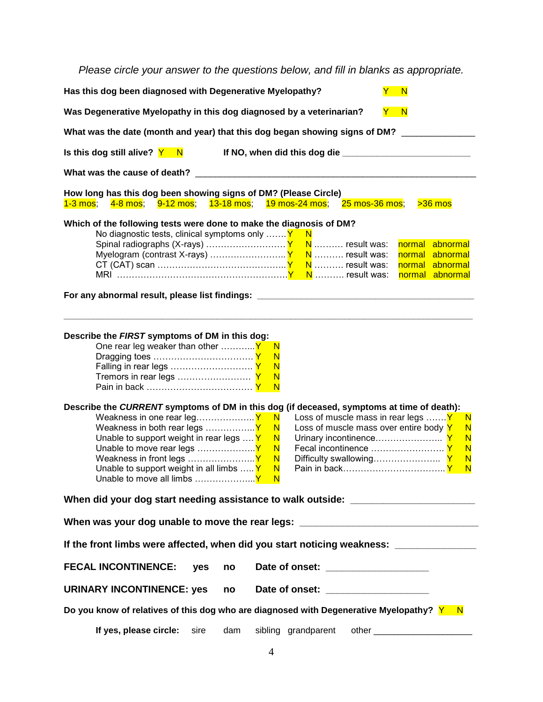*Please circle your answer to the questions below, and fill in blanks as appropriate.*

| Has this dog been diagnosed with Degenerative Myelopathy?<br>Y.<br>$\mathsf{N}$                                                                                                                                                                                                                                                                                                                                                                 |  |  |  |  |  |
|-------------------------------------------------------------------------------------------------------------------------------------------------------------------------------------------------------------------------------------------------------------------------------------------------------------------------------------------------------------------------------------------------------------------------------------------------|--|--|--|--|--|
| Was Degenerative Myelopathy in this dog diagnosed by a veterinarian?<br>$\mathbf N$<br>Y .                                                                                                                                                                                                                                                                                                                                                      |  |  |  |  |  |
| What was the date (month and year) that this dog began showing signs of DM? ________                                                                                                                                                                                                                                                                                                                                                            |  |  |  |  |  |
| Is this dog still alive? Y N                                                                                                                                                                                                                                                                                                                                                                                                                    |  |  |  |  |  |
| What was the cause of death?                                                                                                                                                                                                                                                                                                                                                                                                                    |  |  |  |  |  |
| How long has this dog been showing signs of DM? (Please Circle)                                                                                                                                                                                                                                                                                                                                                                                 |  |  |  |  |  |
| 13-18 mos; 19 mos-24 mos;<br>$25$ mos-36 mos;<br><mark>1-3 mos</mark> ;<br><mark>9-12 mos</mark> ;<br>$>36$ mos<br><mark>4-8 mos</mark> ;                                                                                                                                                                                                                                                                                                       |  |  |  |  |  |
| Which of the following tests were done to make the diagnosis of DM?<br>No diagnostic tests, clinical symptoms only $\ldots \mathbf{Y}$<br>- N<br>normal abnormal<br>Myelogram (contrast X-rays) $Y \setminus N$ result was:<br>normal abnormal<br>normal abnormal<br>normal abnormal<br>For any abnormal result, please list findings: _________________________________                                                                        |  |  |  |  |  |
| Describe the FIRST symptoms of DM in this dog:<br>N<br>$\mathsf{N}$<br>N<br>N<br>N                                                                                                                                                                                                                                                                                                                                                              |  |  |  |  |  |
| Describe the CURRENT symptoms of DM in this dog (if deceased, symptoms at time of death):<br>Loss of muscle mass in rear legs  Y<br>N<br>-N<br>Loss of muscle mass over entire body Y<br>$\overline{\mathsf{N}}$<br>N<br>Unable to support weight in rear legs $\dots Y$<br>N<br>N<br>N<br>$\mathsf{N}$<br>N<br>N<br>$\overline{\mathsf{N}}$<br>$\overline{\mathsf{N}}$<br>Unable to support weight in all limbs $Y$<br>$\overline{\mathsf{N}}$ |  |  |  |  |  |
| When did your dog start needing assistance to walk outside: ____________________                                                                                                                                                                                                                                                                                                                                                                |  |  |  |  |  |
| When was your dog unable to move the rear legs: ________________________________                                                                                                                                                                                                                                                                                                                                                                |  |  |  |  |  |
| If the front limbs were affected, when did you start noticing weakness: ______________                                                                                                                                                                                                                                                                                                                                                          |  |  |  |  |  |
| <b>FECAL INCONTINENCE:</b><br>yes<br>Date of onset: ____________________<br>no                                                                                                                                                                                                                                                                                                                                                                  |  |  |  |  |  |
| <b>URINARY INCONTINENCE: yes</b><br>Date of onset: ___________________<br>no                                                                                                                                                                                                                                                                                                                                                                    |  |  |  |  |  |
| Do you know of relatives of this dog who are diagnosed with Degenerative Myelopathy? $Y - N$                                                                                                                                                                                                                                                                                                                                                    |  |  |  |  |  |
| If yes, please circle:<br>sibling grandparent<br>sire<br>dam<br>other _________________________                                                                                                                                                                                                                                                                                                                                                 |  |  |  |  |  |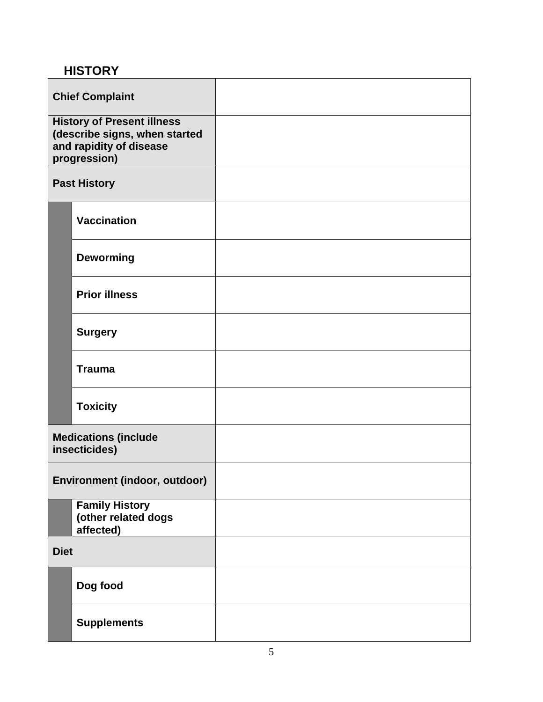## **HISTORY**

| <b>Chief Complaint</b>                                                                                        |                                                           |  |
|---------------------------------------------------------------------------------------------------------------|-----------------------------------------------------------|--|
| <b>History of Present illness</b><br>(describe signs, when started<br>and rapidity of disease<br>progression) |                                                           |  |
|                                                                                                               | <b>Past History</b>                                       |  |
|                                                                                                               | <b>Vaccination</b>                                        |  |
|                                                                                                               | <b>Deworming</b>                                          |  |
|                                                                                                               | <b>Prior illness</b>                                      |  |
|                                                                                                               | <b>Surgery</b>                                            |  |
|                                                                                                               | <b>Trauma</b>                                             |  |
|                                                                                                               | <b>Toxicity</b>                                           |  |
|                                                                                                               | <b>Medications (include</b><br>insecticides)              |  |
|                                                                                                               | Environment (indoor, outdoor)                             |  |
|                                                                                                               | <b>Family History</b><br>(other related dogs<br>affected) |  |
| <b>Diet</b>                                                                                                   |                                                           |  |
|                                                                                                               | Dog food                                                  |  |
|                                                                                                               | <b>Supplements</b>                                        |  |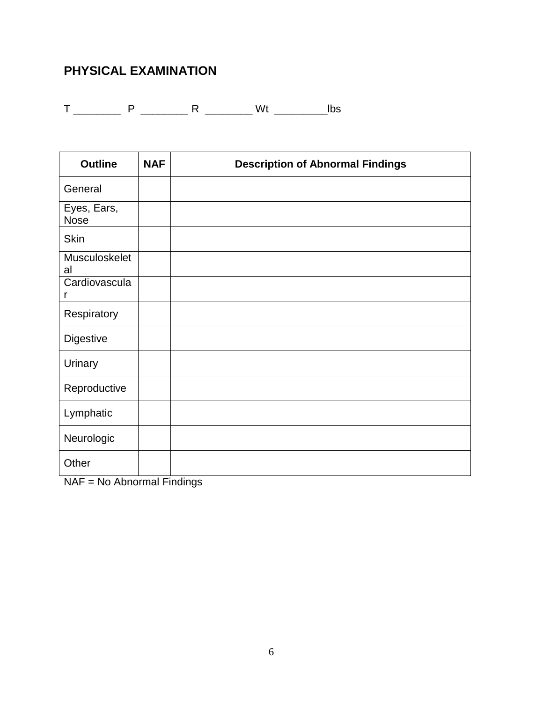## **PHYSICAL EXAMINATION**

T \_\_\_\_\_\_\_\_ P \_\_\_\_\_\_\_\_ R \_\_\_\_\_\_\_\_ Wt \_\_\_\_\_\_\_\_\_lbs

| <b>Outline</b>             | <b>NAF</b> | <b>Description of Abnormal Findings</b> |
|----------------------------|------------|-----------------------------------------|
| General                    |            |                                         |
| Eyes, Ears,<br><b>Nose</b> |            |                                         |
| <b>Skin</b>                |            |                                         |
| Musculoskelet<br>al        |            |                                         |
| Cardiovascula<br>r         |            |                                         |
| Respiratory                |            |                                         |
| <b>Digestive</b>           |            |                                         |
| Urinary                    |            |                                         |
| Reproductive               |            |                                         |
| Lymphatic                  |            |                                         |
| Neurologic                 |            |                                         |
| Other                      |            |                                         |

NAF = No Abnormal Findings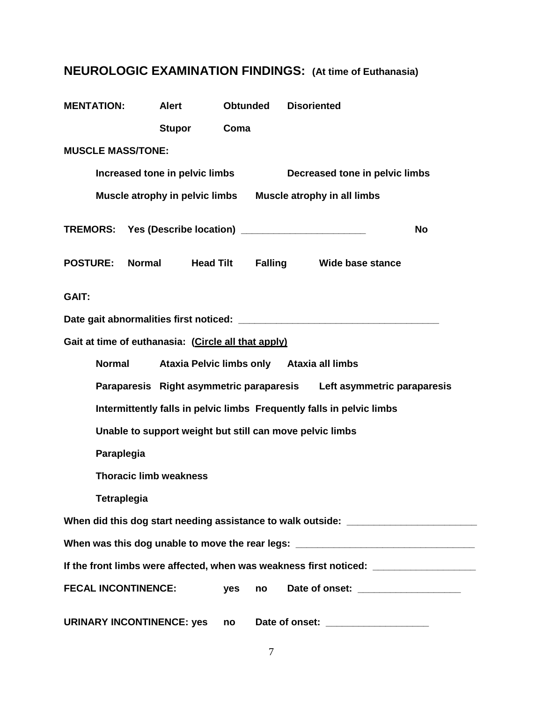# **NEUROLOGIC EXAMINATION FINDINGS: (At time of Euthanasia)**

| <b>MENTATION:</b>                                                                 | <b>Alert</b>                                                          | <b>Obtunded</b> | <b>Disoriented</b>                                                     |  |  |  |  |
|-----------------------------------------------------------------------------------|-----------------------------------------------------------------------|-----------------|------------------------------------------------------------------------|--|--|--|--|
|                                                                                   | <b>Stupor</b>                                                         | Coma            |                                                                        |  |  |  |  |
| <b>MUSCLE MASS/TONE:</b>                                                          |                                                                       |                 |                                                                        |  |  |  |  |
|                                                                                   | Increased tone in pelvic limbs<br>Decreased tone in pelvic limbs      |                 |                                                                        |  |  |  |  |
|                                                                                   |                                                                       |                 | Muscle atrophy in pelvic limbs  Muscle atrophy in all limbs            |  |  |  |  |
|                                                                                   |                                                                       |                 | TREMORS: Yes (Describe location) ________________________<br><b>No</b> |  |  |  |  |
| <b>POSTURE:</b>                                                                   | Normal Head Tilt                                                      |                 | Falling Wide base stance                                               |  |  |  |  |
| <b>GAIT:</b>                                                                      |                                                                       |                 |                                                                        |  |  |  |  |
|                                                                                   |                                                                       |                 |                                                                        |  |  |  |  |
|                                                                                   | Gait at time of euthanasia: (Circle all that apply)                   |                 |                                                                        |  |  |  |  |
| <b>Normal</b>                                                                     | Ataxia Pelvic limbs only Ataxia all limbs                             |                 |                                                                        |  |  |  |  |
| Paraparesis Right asymmetric paraparesis Left asymmetric paraparesis              |                                                                       |                 |                                                                        |  |  |  |  |
|                                                                                   | Intermittently falls in pelvic limbs Frequently falls in pelvic limbs |                 |                                                                        |  |  |  |  |
| Unable to support weight but still can move pelvic limbs                          |                                                                       |                 |                                                                        |  |  |  |  |
| Paraplegia                                                                        |                                                                       |                 |                                                                        |  |  |  |  |
|                                                                                   | <b>Thoracic limb weakness</b>                                         |                 |                                                                        |  |  |  |  |
| <b>Tetraplegia</b>                                                                |                                                                       |                 |                                                                        |  |  |  |  |
| When did this dog start needing assistance to walk outside: ____________________  |                                                                       |                 |                                                                        |  |  |  |  |
| When was this dog unable to move the rear legs: ________________________________  |                                                                       |                 |                                                                        |  |  |  |  |
| If the front limbs were affected, when was weakness first noticed: ______________ |                                                                       |                 |                                                                        |  |  |  |  |
| <b>FECAL INCONTINENCE:</b>                                                        |                                                                       | yes<br>no       |                                                                        |  |  |  |  |
|                                                                                   | <b>URINARY INCONTINENCE: yes</b>                                      | no              | Date of onset: ____________________                                    |  |  |  |  |

7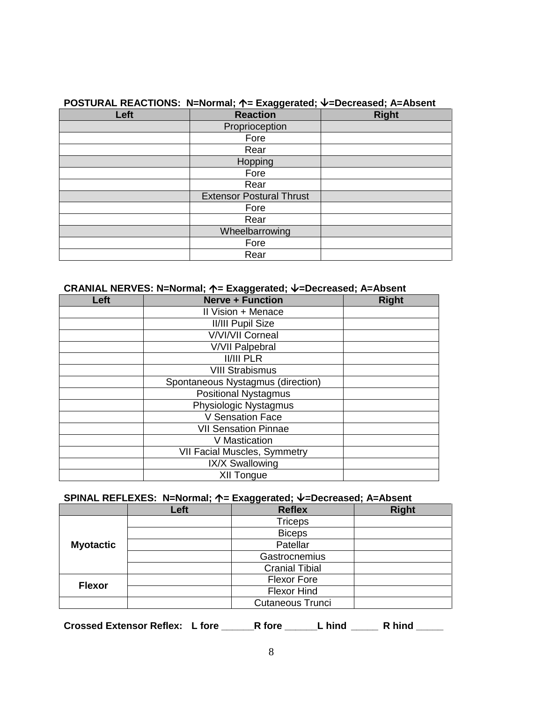| $1 \leftrightarrow 0$ |                                 |              |  |  |  |
|-----------------------|---------------------------------|--------------|--|--|--|
| Left                  | <b>Reaction</b>                 | <b>Right</b> |  |  |  |
|                       | Proprioception                  |              |  |  |  |
|                       | Fore                            |              |  |  |  |
|                       | Rear                            |              |  |  |  |
|                       | Hopping                         |              |  |  |  |
|                       | Fore                            |              |  |  |  |
|                       | Rear                            |              |  |  |  |
|                       | <b>Extensor Postural Thrust</b> |              |  |  |  |
|                       | Fore                            |              |  |  |  |
|                       | Rear                            |              |  |  |  |
|                       | Wheelbarrowing                  |              |  |  |  |
|                       | Fore                            |              |  |  |  |
|                       | Rear                            |              |  |  |  |

### **POSTURAL REACTIONS: N=Normal; 个= Exaggerated; V=Decreased; A=Absent**

#### **CRANIAL NERVES: N=Normal; ↑= Exaggerated; ↓=Decreased; A=Absent**

| Left | <u>ົບບໍ່ ແລະ</u><br><b>Nerve + Function</b> | <b>Right</b> |
|------|---------------------------------------------|--------------|
|      | Il Vision + Menace                          |              |
|      | <b>II/III Pupil Size</b>                    |              |
|      | <b>V/VI/VII Corneal</b>                     |              |
|      | <b>V/VII Palpebral</b>                      |              |
|      | <b>II/III PLR</b>                           |              |
|      | <b>VIII Strabismus</b>                      |              |
|      | Spontaneous Nystagmus (direction)           |              |
|      | <b>Positional Nystagmus</b>                 |              |
|      | Physiologic Nystagmus                       |              |
|      | <b>V Sensation Face</b>                     |              |
|      | <b>VII Sensation Pinnae</b>                 |              |
|      | V Mastication                               |              |
|      | <b>VII Facial Muscles, Symmetry</b>         |              |
|      | IX/X Swallowing                             |              |
|      | XII Tongue                                  |              |

#### SPINAL REFLEXES: N=Normal; ↑= Exaggerated; ↓=Decreased; A=Absent

|                  | Left | <b>Reflex</b>           | <b>Right</b> |
|------------------|------|-------------------------|--------------|
|                  |      | <b>Triceps</b>          |              |
|                  |      | <b>Biceps</b>           |              |
| <b>Myotactic</b> |      | Patellar                |              |
|                  |      | Gastrocnemius           |              |
|                  |      | <b>Cranial Tibial</b>   |              |
| <b>Flexor</b>    |      | <b>Flexor Fore</b>      |              |
|                  |      | <b>Flexor Hind</b>      |              |
|                  |      | <b>Cutaneous Trunci</b> |              |

**Crossed Extensor Reflex: L fore \_\_\_\_\_\_R fore \_\_\_\_\_\_L hind \_\_\_\_\_ R hind \_\_\_\_\_**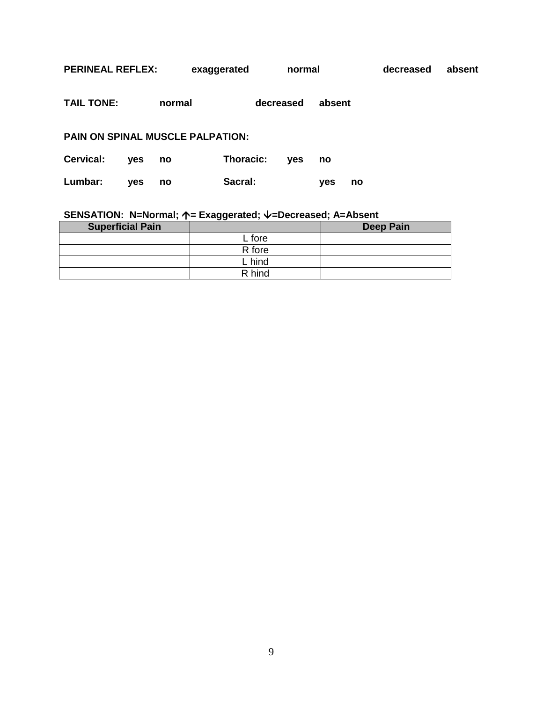| <b>PERINEAL REFLEX:</b>          |            |        | exaggerated      |           | normal     |            |    | decreased | absent |
|----------------------------------|------------|--------|------------------|-----------|------------|------------|----|-----------|--------|
| <b>TAIL TONE:</b>                |            | normal |                  | decreased |            | absent     |    |           |        |
| PAIN ON SPINAL MUSCLE PALPATION: |            |        |                  |           |            |            |    |           |        |
| Cervical:                        | <b>ves</b> | no     | <b>Thoracic:</b> |           | <b>ves</b> | no         |    |           |        |
| Lumbar:                          | <b>ves</b> | no     | Sacral:          |           |            | <b>ves</b> | no |           |        |

# SENSATION: N=Normal; ↑= Exaggerated; V=Decreased; A=Absent

| <b>Superficial Pain</b> |        | <b>Deep Pain</b> |
|-------------------------|--------|------------------|
|                         | L fore |                  |
|                         | R fore |                  |
|                         | L hind |                  |
|                         | R hind |                  |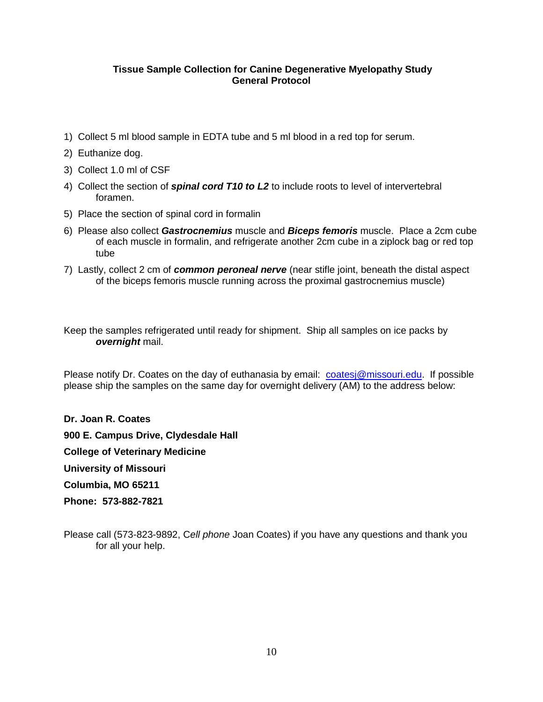#### **Tissue Sample Collection for Canine Degenerative Myelopathy Study General Protocol**

- 1) Collect 5 ml blood sample in EDTA tube and 5 ml blood in a red top for serum.
- 2) Euthanize dog.
- 3) Collect 1.0 ml of CSF
- 4) Collect the section of *spinal cord T10 to L2* to include roots to level of intervertebral foramen.
- 5) Place the section of spinal cord in formalin
- 6) Please also collect *Gastrocnemius* muscle and *Biceps femoris* muscle. Place a 2cm cube of each muscle in formalin, and refrigerate another 2cm cube in a ziplock bag or red top tube
- 7) Lastly, collect 2 cm of *common peroneal nerve* (near stifle joint, beneath the distal aspect of the biceps femoris muscle running across the proximal gastrocnemius muscle)

Keep the samples refrigerated until ready for shipment. Ship all samples on ice packs by *overnight* mail.

Please notify Dr. Coates on the day of euthanasia by email: [coatesj@missouri.edu.](mailto:coatesj@missouri.edu) If possible please ship the samples on the same day for overnight delivery (AM) to the address below:

**Dr. Joan R. Coates 900 E. Campus Drive, Clydesdale Hall College of Veterinary Medicine University of Missouri Columbia, MO 65211 Phone: 573-882-7821**

Please call (573-823-9892, C*ell phone* Joan Coates) if you have any questions and thank you for all your help.